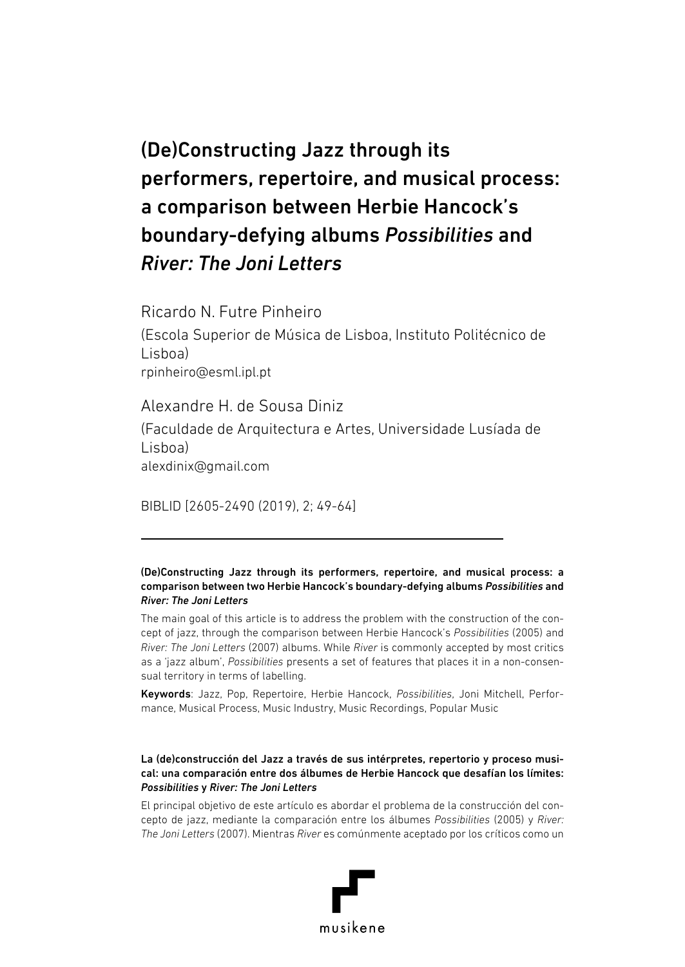# (De)Constructing Jazz through its performers, repertoire, and musical process: a comparison between Herbie Hancock's boundary-defying albums *Possibilities* and *River: The Joni Letters*

Ricardo N. Futre Pinheiro

(Escola Superior de Música de Lisboa, Instituto Politécnico de Lisboa) rpinheiro@esml.ipl.pt

Alexandre H. de Sousa Diniz (Faculdade de Arquitectura e Artes, Universidade Lusíada de Lisboa) alexdinix@gmail.com

BIBLID [2605-2490 (2019), 2; 49-64]

#### (De)Constructing Jazz through its performers, repertoire, and musical process: a comparison between two Herbie Hancock's boundary-defying albums *Possibilities* and *River: The Joni Letters*

The main goal of this article is to address the problem with the construction of the concept of jazz, through the comparison between Herbie Hancock's *Possibilities* (2005) and *River: The Joni Letters* (2007) albums. While *River* is commonly accepted by most critics as a 'jazz album', *Possibilities* presents a set of features that places it in a non-consensual territory in terms of labelling.

Keywords: Jazz, Pop, Repertoire, Herbie Hancock, *Possibilities*, Joni Mitchell, Performance, Musical Process, Music Industry, Music Recordings, Popular Music

#### La (de)construcción del Jazz a través de sus intérpretes, repertorio y proceso musical: una comparación entre dos álbumes de Herbie Hancock que desafían los límites: *Possibilities* y *River: The Joni Letters*

El principal objetivo de este artículo es abordar el problema de la construcción del concepto de jazz, mediante la comparación entre los álbumes *Possibilities* (2005) y *River: The Joni Letters* (2007). Mientras *River* es comúnmente aceptado por los críticos como un

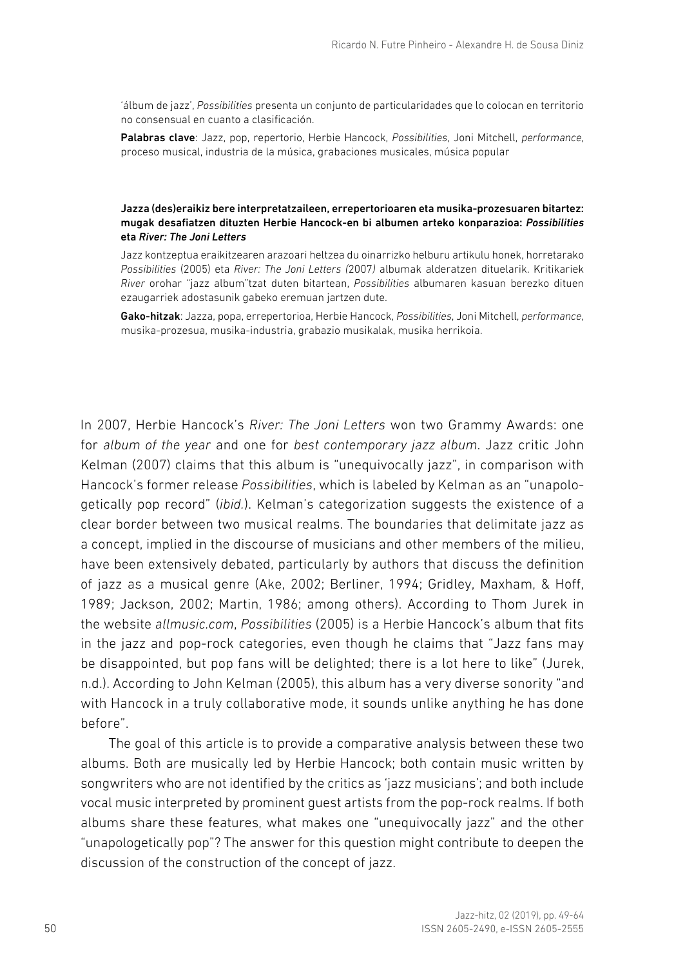'álbum de jazz', *Possibilities* presenta un conjunto de particularidades que lo colocan en territorio no consensual en cuanto a clasificación.

Palabras clave: Jazz, pop, repertorio, Herbie Hancock, *Possibilities*, Joni Mitchell, *performance*, proceso musical, industria de la música, grabaciones musicales, música popular

#### Jazza (des)eraikiz bere interpretatzaileen, errepertorioaren eta musika-prozesuaren bitartez: mugak desafiatzen dituzten Herbie Hancock-en bi albumen arteko konparazioa: *Possibilities* eta *River: The Joni Letters*

Jazz kontzeptua eraikitzearen arazoari heltzea du oinarrizko helburu artikulu honek, horretarako *Possibilities* (2005) eta *River: The Joni Letters (*2007*)* albumak alderatzen dituelarik. Kritikariek *River* orohar "jazz album"tzat duten bitartean, *Possibilities* albumaren kasuan berezko dituen ezaugarriek adostasunik gabeko eremuan jartzen dute.

Gako-hitzak: Jazza, popa, errepertorioa, Herbie Hancock, *Possibilities*, Joni Mitchell, *performance*, musika-prozesua, musika-industria, grabazio musikalak, musika herrikoia.

In 2007, Herbie Hancock's *River: The Joni Letters* won two Grammy Awards: one for *album of the year* and one for *best contemporary jazz album*. Jazz critic John Kelman (2007) claims that this album is "unequivocally jazz", in comparison with Hancock's former release *Possibilities*, which is labeled by Kelman as an "unapologetically pop record" (*ibid.*). Kelman's categorization suggests the existence of a clear border between two musical realms. The boundaries that delimitate jazz as a concept, implied in the discourse of musicians and other members of the milieu, have been extensively debated, particularly by authors that discuss the definition of jazz as a musical genre (Ake, 2002; Berliner, 1994; Gridley, Maxham, & Hoff, 1989; Jackson, 2002; Martin, 1986; among others). According to Thom Jurek in the website *allmusic.com*, *Possibilities* (2005) is a Herbie Hancock's album that fits in the jazz and pop-rock categories, even though he claims that "Jazz fans may be disappointed, but pop fans will be delighted; there is a lot here to like" (Jurek, n.d.). According to John Kelman (2005), this album has a very diverse sonority "and with Hancock in a truly collaborative mode, it sounds unlike anything he has done before".

The goal of this article is to provide a comparative analysis between these two albums. Both are musically led by Herbie Hancock; both contain music written by songwriters who are not identified by the critics as 'jazz musicians'; and both include vocal music interpreted by prominent guest artists from the pop-rock realms. If both albums share these features, what makes one "unequivocally jazz" and the other "unapologetically pop"? The answer for this question might contribute to deepen the discussion of the construction of the concept of jazz.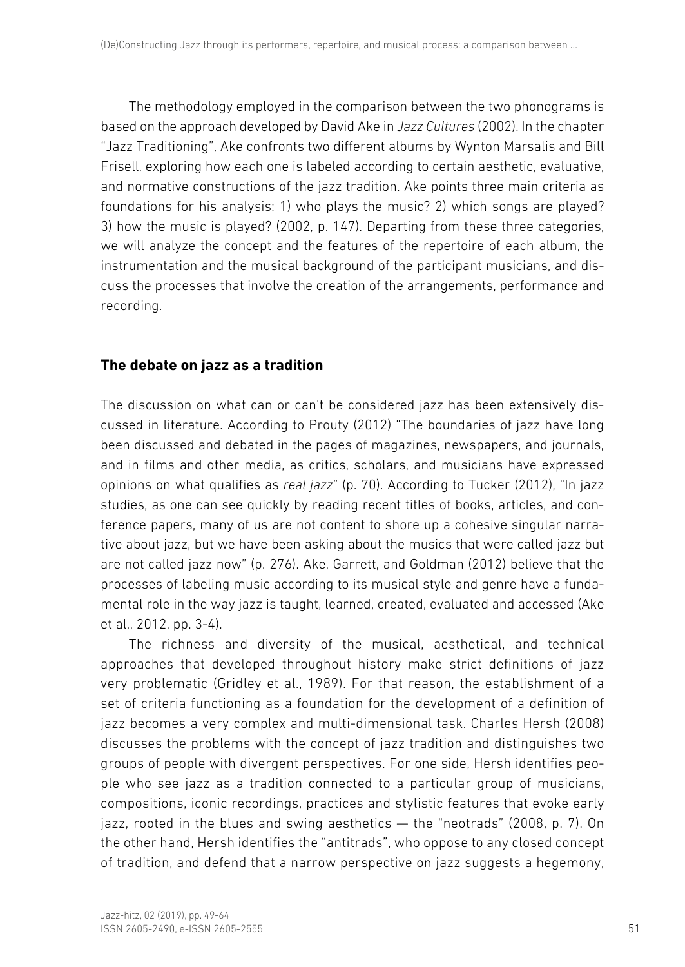The methodology employed in the comparison between the two phonograms is based on the approach developed by David Ake in *Jazz Cultures* (2002). In the chapter "Jazz Traditioning", Ake confronts two different albums by Wynton Marsalis and Bill Frisell, exploring how each one is labeled according to certain aesthetic, evaluative, and normative constructions of the jazz tradition. Ake points three main criteria as foundations for his analysis: 1) who plays the music? 2) which songs are played? 3) how the music is played? (2002, p. 147). Departing from these three categories, we will analyze the concept and the features of the repertoire of each album, the instrumentation and the musical background of the participant musicians, and discuss the processes that involve the creation of the arrangements, performance and recording.

## **The debate on jazz as a tradition**

The discussion on what can or can't be considered jazz has been extensively discussed in literature. According to Prouty (2012) "The boundaries of jazz have long been discussed and debated in the pages of magazines, newspapers, and journals, and in films and other media, as critics, scholars, and musicians have expressed opinions on what qualifies as *real jazz*" (p. 70). According to Tucker (2012), "In jazz studies, as one can see quickly by reading recent titles of books, articles, and conference papers, many of us are not content to shore up a cohesive singular narrative about jazz, but we have been asking about the musics that were called jazz but are not called jazz now" (p. 276). Ake, Garrett, and Goldman (2012) believe that the processes of labeling music according to its musical style and genre have a fundamental role in the way jazz is taught, learned, created, evaluated and accessed (Ake et al., 2012, pp. 3-4).

The richness and diversity of the musical, aesthetical, and technical approaches that developed throughout history make strict definitions of jazz very problematic (Gridley et al., 1989). For that reason, the establishment of a set of criteria functioning as a foundation for the development of a definition of jazz becomes a very complex and multi-dimensional task. Charles Hersh (2008) discusses the problems with the concept of jazz tradition and distinguishes two groups of people with divergent perspectives. For one side, Hersh identifies people who see jazz as a tradition connected to a particular group of musicians, compositions, iconic recordings, practices and stylistic features that evoke early jazz, rooted in the blues and swing aesthetics — the "neotrads" (2008, p. 7). On the other hand, Hersh identifies the "antitrads", who oppose to any closed concept of tradition, and defend that a narrow perspective on jazz suggests a hegemony,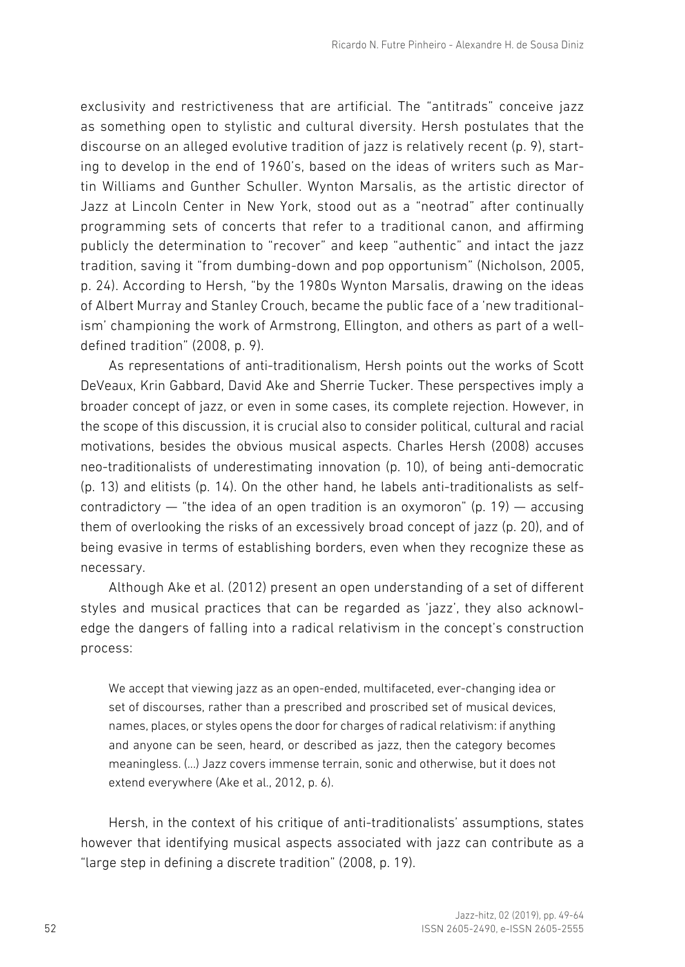exclusivity and restrictiveness that are artificial. The "antitrads" conceive jazz as something open to stylistic and cultural diversity. Hersh postulates that the discourse on an alleged evolutive tradition of jazz is relatively recent (p. 9), starting to develop in the end of 1960's, based on the ideas of writers such as Martin Williams and Gunther Schuller. Wynton Marsalis, as the artistic director of Jazz at Lincoln Center in New York, stood out as a "neotrad" after continually programming sets of concerts that refer to a traditional canon, and affirming publicly the determination to "recover" and keep "authentic" and intact the jazz tradition, saving it "from dumbing-down and pop opportunism" (Nicholson, 2005, p. 24). According to Hersh, "by the 1980s Wynton Marsalis, drawing on the ideas of Albert Murray and Stanley Crouch, became the public face of a 'new traditionalism' championing the work of Armstrong, Ellington, and others as part of a welldefined tradition" (2008, p. 9).

As representations of anti-traditionalism, Hersh points out the works of Scott DeVeaux, Krin Gabbard, David Ake and Sherrie Tucker. These perspectives imply a broader concept of jazz, or even in some cases, its complete rejection. However, in the scope of this discussion, it is crucial also to consider political, cultural and racial motivations, besides the obvious musical aspects. Charles Hersh (2008) accuses neo-traditionalists of underestimating innovation (p. 10), of being anti-democratic (p. 13) and elitists (p. 14). On the other hand, he labels anti-traditionalists as selfcontradictory  $-$  "the idea of an open tradition is an oxymoron" (p. 19)  $-$  accusing them of overlooking the risks of an excessively broad concept of jazz (p. 20), and of being evasive in terms of establishing borders, even when they recognize these as necessary.

Although Ake et al. (2012) present an open understanding of a set of different styles and musical practices that can be regarded as 'jazz', they also acknowledge the dangers of falling into a radical relativism in the concept's construction process:

We accept that viewing jazz as an open-ended, multifaceted, ever-changing idea or set of discourses, rather than a prescribed and proscribed set of musical devices, names, places, or styles opens the door for charges of radical relativism: if anything and anyone can be seen, heard, or described as jazz, then the category becomes meaningless. (…) Jazz covers immense terrain, sonic and otherwise, but it does not extend everywhere (Ake et al., 2012, p. 6).

Hersh, in the context of his critique of anti-traditionalists' assumptions, states however that identifying musical aspects associated with jazz can contribute as a "large step in defining a discrete tradition" (2008, p. 19).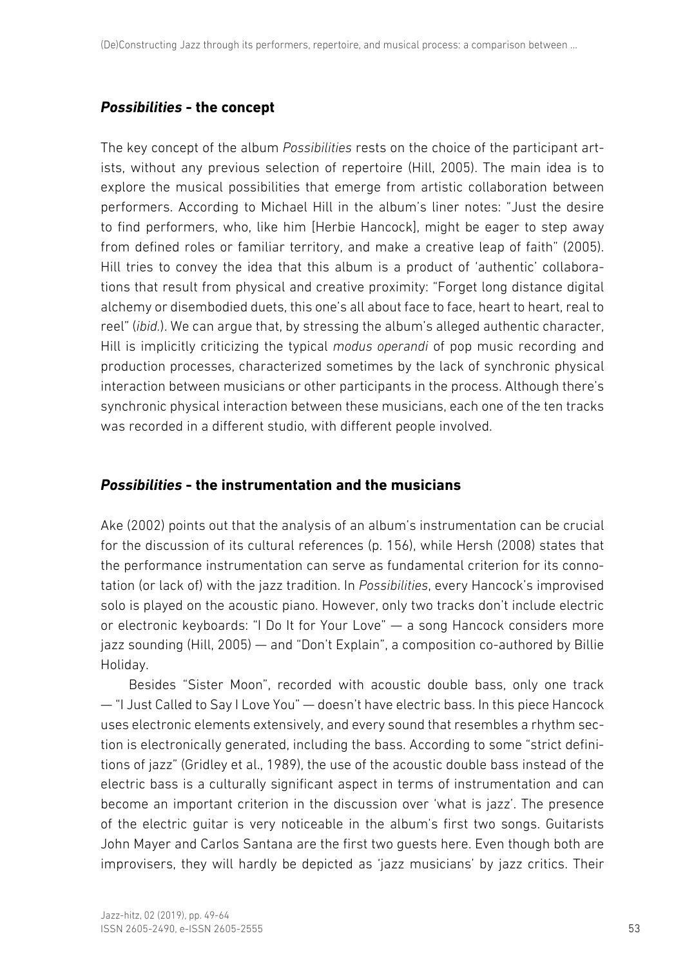# *Possibilities* **- the concept**

The key concept of the album *Possibilities* rests on the choice of the participant artists, without any previous selection of repertoire (Hill, 2005). The main idea is to explore the musical possibilities that emerge from artistic collaboration between performers. According to Michael Hill in the album's liner notes: "Just the desire to find performers, who, like him [Herbie Hancock], might be eager to step away from defined roles or familiar territory, and make a creative leap of faith" (2005). Hill tries to convey the idea that this album is a product of 'authentic' collaborations that result from physical and creative proximity: "Forget long distance digital alchemy or disembodied duets, this one's all about face to face, heart to heart, real to reel" (*ibid.*). We can argue that, by stressing the album's alleged authentic character, Hill is implicitly criticizing the typical *modus operandi* of pop music recording and production processes, characterized sometimes by the lack of synchronic physical interaction between musicians or other participants in the process. Although there's synchronic physical interaction between these musicians, each one of the ten tracks was recorded in a different studio, with different people involved.

# *Possibilities* **- the instrumentation and the musicians**

Ake (2002) points out that the analysis of an album's instrumentation can be crucial for the discussion of its cultural references (p. 156), while Hersh (2008) states that the performance instrumentation can serve as fundamental criterion for its connotation (or lack of) with the jazz tradition. In *Possibilities*, every Hancock's improvised solo is played on the acoustic piano. However, only two tracks don't include electric or electronic keyboards: "I Do It for Your Love" — a song Hancock considers more jazz sounding (Hill, 2005) — and "Don't Explain", a composition co-authored by Billie Holiday.

Besides "Sister Moon", recorded with acoustic double bass, only one track — "I Just Called to Say I Love You" — doesn't have electric bass. In this piece Hancock uses electronic elements extensively, and every sound that resembles a rhythm section is electronically generated, including the bass. According to some "strict definitions of jazz" (Gridley et al., 1989), the use of the acoustic double bass instead of the electric bass is a culturally significant aspect in terms of instrumentation and can become an important criterion in the discussion over 'what is jazz'. The presence of the electric guitar is very noticeable in the album's first two songs. Guitarists John Mayer and Carlos Santana are the first two guests here. Even though both are improvisers, they will hardly be depicted as 'jazz musicians' by jazz critics. Their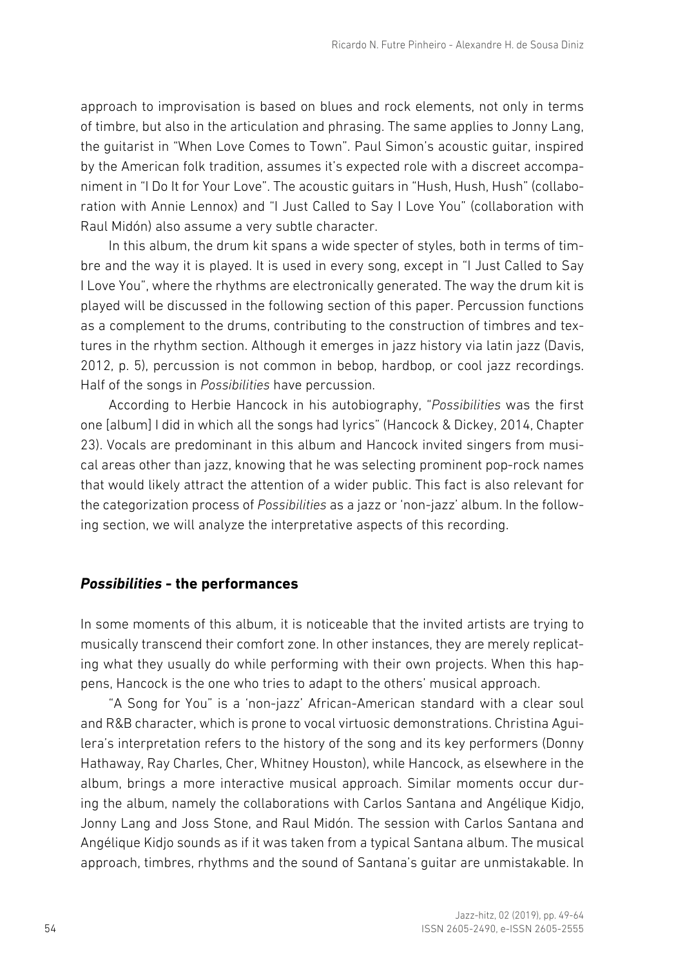approach to improvisation is based on blues and rock elements, not only in terms of timbre, but also in the articulation and phrasing. The same applies to Jonny Lang, the guitarist in "When Love Comes to Town". Paul Simon's acoustic guitar, inspired by the American folk tradition, assumes it's expected role with a discreet accompaniment in "I Do It for Your Love". The acoustic guitars in "Hush, Hush, Hush" (collaboration with Annie Lennox) and "I Just Called to Say I Love You" (collaboration with Raul Midón) also assume a very subtle character.

In this album, the drum kit spans a wide specter of styles, both in terms of timbre and the way it is played. It is used in every song, except in "I Just Called to Say I Love You", where the rhythms are electronically generated. The way the drum kit is played will be discussed in the following section of this paper. Percussion functions as a complement to the drums, contributing to the construction of timbres and textures in the rhythm section. Although it emerges in jazz history via latin jazz (Davis, 2012, p. 5), percussion is not common in bebop, hardbop, or cool jazz recordings. Half of the songs in *Possibilities* have percussion.

According to Herbie Hancock in his autobiography, "*Possibilities* was the first one [album] I did in which all the songs had lyrics" (Hancock & Dickey, 2014, Chapter 23). Vocals are predominant in this album and Hancock invited singers from musical areas other than jazz, knowing that he was selecting prominent pop-rock names that would likely attract the attention of a wider public. This fact is also relevant for the categorization process of *Possibilities* as a jazz or 'non-jazz' album. In the following section, we will analyze the interpretative aspects of this recording.

## *Possibilities* **- the performances**

In some moments of this album, it is noticeable that the invited artists are trying to musically transcend their comfort zone. In other instances, they are merely replicating what they usually do while performing with their own projects. When this happens, Hancock is the one who tries to adapt to the others' musical approach.

"A Song for You" is a 'non-jazz' African-American standard with a clear soul and R&B character, which is prone to vocal virtuosic demonstrations. Christina Aguilera's interpretation refers to the history of the song and its key performers (Donny Hathaway, Ray Charles, Cher, Whitney Houston), while Hancock, as elsewhere in the album, brings a more interactive musical approach. Similar moments occur during the album, namely the collaborations with Carlos Santana and Angélique Kidjo, Jonny Lang and Joss Stone, and Raul Midón. The session with Carlos Santana and Angélique Kidjo sounds as if it was taken from a typical Santana album. The musical approach, timbres, rhythms and the sound of Santana's guitar are unmistakable. In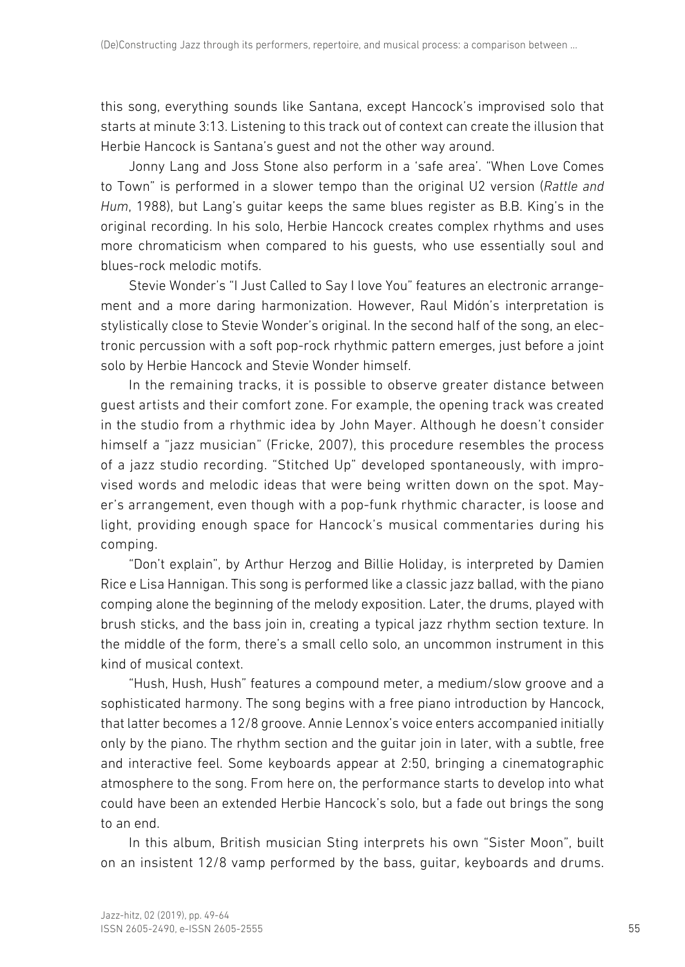this song, everything sounds like Santana, except Hancock's improvised solo that starts at minute 3:13. Listening to this track out of context can create the illusion that Herbie Hancock is Santana's guest and not the other way around.

Jonny Lang and Joss Stone also perform in a 'safe area'. "When Love Comes to Town" is performed in a slower tempo than the original U2 version (*Rattle and Hum*, 1988), but Lang's guitar keeps the same blues register as B.B. King's in the original recording. In his solo, Herbie Hancock creates complex rhythms and uses more chromaticism when compared to his guests, who use essentially soul and blues-rock melodic motifs.

Stevie Wonder's "I Just Called to Say I love You" features an electronic arrangement and a more daring harmonization. However, Raul Midón's interpretation is stylistically close to Stevie Wonder's original. In the second half of the song, an electronic percussion with a soft pop-rock rhythmic pattern emerges, just before a joint solo by Herbie Hancock and Stevie Wonder himself.

In the remaining tracks, it is possible to observe greater distance between guest artists and their comfort zone. For example, the opening track was created in the studio from a rhythmic idea by John Mayer. Although he doesn't consider himself a "jazz musician" (Fricke, 2007), this procedure resembles the process of a jazz studio recording. "Stitched Up" developed spontaneously, with improvised words and melodic ideas that were being written down on the spot. Mayer's arrangement, even though with a pop-funk rhythmic character, is loose and light, providing enough space for Hancock's musical commentaries during his comping.

"Don't explain", by Arthur Herzog and Billie Holiday, is interpreted by Damien Rice e Lisa Hannigan. This song is performed like a classic jazz ballad, with the piano comping alone the beginning of the melody exposition. Later, the drums, played with brush sticks, and the bass join in, creating a typical jazz rhythm section texture. In the middle of the form, there's a small cello solo, an uncommon instrument in this kind of musical context.

"Hush, Hush, Hush" features a compound meter, a medium/slow groove and a sophisticated harmony. The song begins with a free piano introduction by Hancock, that latter becomes a 12/8 groove. Annie Lennox's voice enters accompanied initially only by the piano. The rhythm section and the guitar join in later, with a subtle, free and interactive feel. Some keyboards appear at 2:50, bringing a cinematographic atmosphere to the song. From here on, the performance starts to develop into what could have been an extended Herbie Hancock's solo, but a fade out brings the song to an end.

In this album, British musician Sting interprets his own "Sister Moon", built on an insistent 12/8 vamp performed by the bass, guitar, keyboards and drums.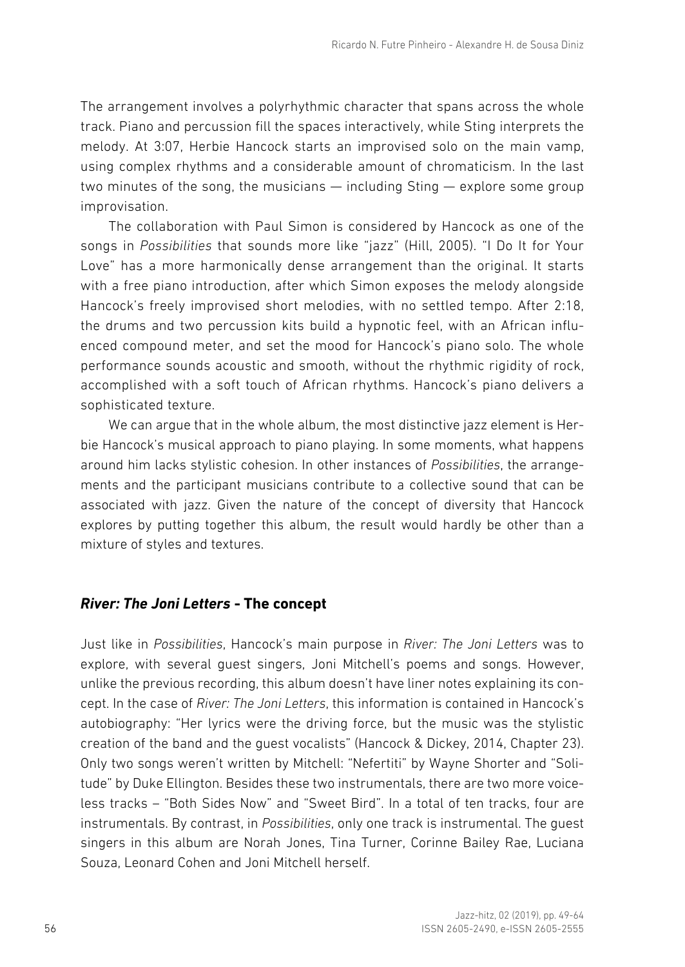The arrangement involves a polyrhythmic character that spans across the whole track. Piano and percussion fill the spaces interactively, while Sting interprets the melody. At 3:07, Herbie Hancock starts an improvised solo on the main vamp, using complex rhythms and a considerable amount of chromaticism. In the last two minutes of the song, the musicians — including Sting — explore some group improvisation.

The collaboration with Paul Simon is considered by Hancock as one of the songs in *Possibilities* that sounds more like "jazz" (Hill, 2005). "I Do It for Your Love" has a more harmonically dense arrangement than the original. It starts with a free piano introduction, after which Simon exposes the melody alongside Hancock's freely improvised short melodies, with no settled tempo. After 2:18, the drums and two percussion kits build a hypnotic feel, with an African influenced compound meter, and set the mood for Hancock's piano solo. The whole performance sounds acoustic and smooth, without the rhythmic rigidity of rock, accomplished with a soft touch of African rhythms. Hancock's piano delivers a sophisticated texture.

We can argue that in the whole album, the most distinctive jazz element is Herbie Hancock's musical approach to piano playing. In some moments, what happens around him lacks stylistic cohesion. In other instances of *Possibilities*, the arrangements and the participant musicians contribute to a collective sound that can be associated with jazz. Given the nature of the concept of diversity that Hancock explores by putting together this album, the result would hardly be other than a mixture of styles and textures.

# *River: The Joni Letters* **- The concept**

Just like in *Possibilities*, Hancock's main purpose in *River: The Joni Letters* was to explore, with several guest singers, Joni Mitchell's poems and songs. However, unlike the previous recording, this album doesn't have liner notes explaining its concept. In the case of *River: The Joni Letters*, this information is contained in Hancock's autobiography: "Her lyrics were the driving force, but the music was the stylistic creation of the band and the guest vocalists" (Hancock & Dickey, 2014, Chapter 23). Only two songs weren't written by Mitchell: "Nefertiti" by Wayne Shorter and "Solitude" by Duke Ellington. Besides these two instrumentals, there are two more voiceless tracks – "Both Sides Now" and "Sweet Bird". In a total of ten tracks, four are instrumentals. By contrast, in *Possibilities*, only one track is instrumental. The guest singers in this album are Norah Jones, Tina Turner, Corinne Bailey Rae, Luciana Souza, Leonard Cohen and Joni Mitchell herself.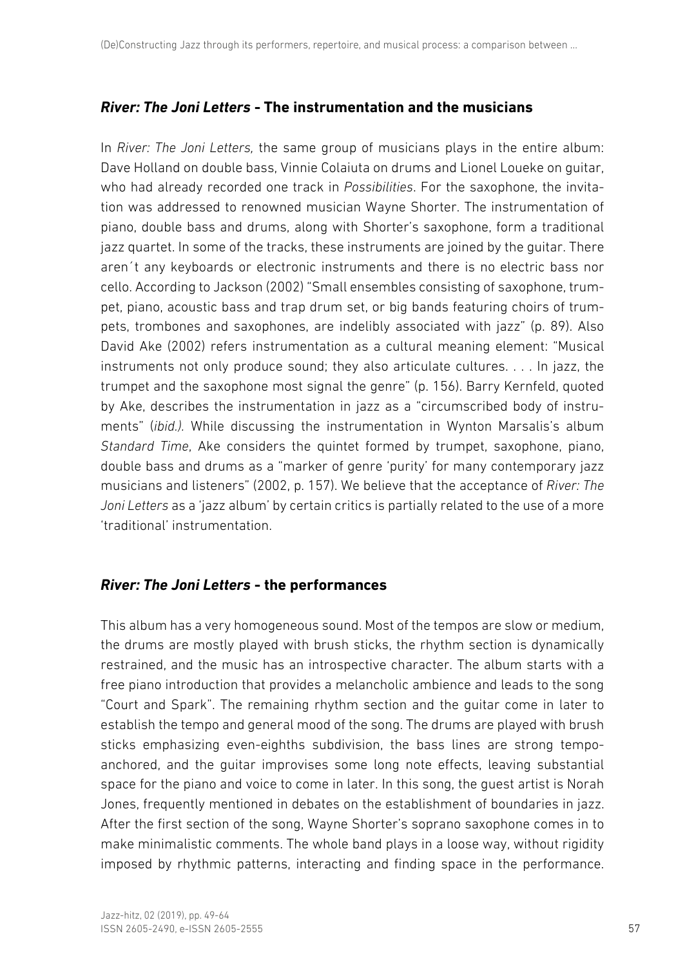# *River: The Joni Letters* **- The instrumentation and the musicians**

In *River: The Joni Letters,* the same group of musicians plays in the entire album: Dave Holland on double bass, Vinnie Colaiuta on drums and Lionel Loueke on guitar, who had already recorded one track in *Possibilities*. For the saxophone, the invitation was addressed to renowned musician Wayne Shorter. The instrumentation of piano, double bass and drums, along with Shorter's saxophone, form a traditional jazz quartet. In some of the tracks, these instruments are joined by the guitar. There aren´t any keyboards or electronic instruments and there is no electric bass nor cello. According to Jackson (2002) "Small ensembles consisting of saxophone, trumpet, piano, acoustic bass and trap drum set, or big bands featuring choirs of trumpets, trombones and saxophones, are indelibly associated with jazz" (p. 89). Also David Ake (2002) refers instrumentation as a cultural meaning element: "Musical instruments not only produce sound; they also articulate cultures. . . . In jazz, the trumpet and the saxophone most signal the genre" (p. 156). Barry Kernfeld, quoted by Ake, describes the instrumentation in jazz as a "circumscribed body of instruments" (*ibid.).* While discussing the instrumentation in Wynton Marsalis's album *Standard Time*, Ake considers the quintet formed by trumpet, saxophone, piano, double bass and drums as a "marker of genre 'purity' for many contemporary jazz musicians and listeners" (2002, p. 157). We believe that the acceptance of *River: The Joni Letters* as a 'jazz album' by certain critics is partially related to the use of a more 'traditional' instrumentation.

# *River: The Joni Letters* **- the performances**

This album has a very homogeneous sound. Most of the tempos are slow or medium, the drums are mostly played with brush sticks, the rhythm section is dynamically restrained, and the music has an introspective character. The album starts with a free piano introduction that provides a melancholic ambience and leads to the song "Court and Spark". The remaining rhythm section and the guitar come in later to establish the tempo and general mood of the song. The drums are played with brush sticks emphasizing even-eighths subdivision, the bass lines are strong tempoanchored, and the guitar improvises some long note effects, leaving substantial space for the piano and voice to come in later. In this song, the guest artist is Norah Jones, frequently mentioned in debates on the establishment of boundaries in jazz. After the first section of the song, Wayne Shorter's soprano saxophone comes in to make minimalistic comments. The whole band plays in a loose way, without rigidity imposed by rhythmic patterns, interacting and finding space in the performance.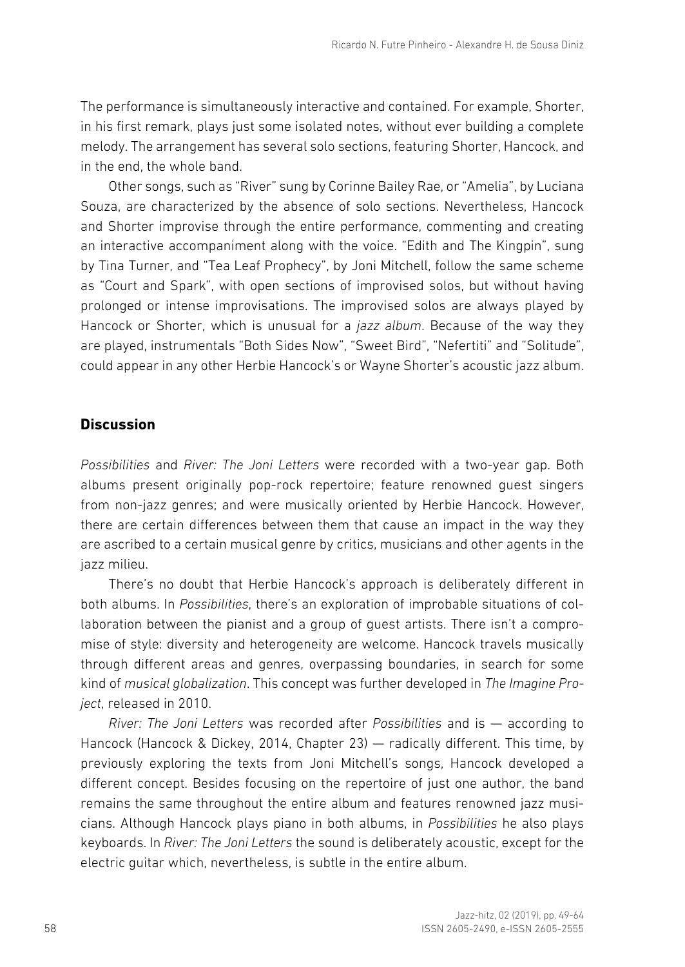The performance is simultaneously interactive and contained. For example, Shorter, in his first remark, plays just some isolated notes, without ever building a complete melody. The arrangement has several solo sections, featuring Shorter, Hancock, and in the end, the whole band.

Other songs, such as "River" sung by Corinne Bailey Rae, or "Amelia", by Luciana Souza, are characterized by the absence of solo sections. Nevertheless, Hancock and Shorter improvise through the entire performance, commenting and creating an interactive accompaniment along with the voice. "Edith and The Kingpin", sung by Tina Turner, and "Tea Leaf Prophecy", by Joni Mitchell, follow the same scheme as "Court and Spark", with open sections of improvised solos, but without having prolonged or intense improvisations. The improvised solos are always played by Hancock or Shorter, which is unusual for a *jazz album*. Because of the way they are played, instrumentals "Both Sides Now", "Sweet Bird", "Nefertiti" and "Solitude", could appear in any other Herbie Hancock's or Wayne Shorter's acoustic jazz album.

# **Discussion**

*Possibilities* and *River: The Joni Letters* were recorded with a two-year gap. Both albums present originally pop-rock repertoire; feature renowned guest singers from non-jazz genres; and were musically oriented by Herbie Hancock. However, there are certain differences between them that cause an impact in the way they are ascribed to a certain musical genre by critics, musicians and other agents in the jazz milieu.

There's no doubt that Herbie Hancock's approach is deliberately different in both albums. In *Possibilities*, there's an exploration of improbable situations of collaboration between the pianist and a group of guest artists. There isn't a compromise of style: diversity and heterogeneity are welcome. Hancock travels musically through different areas and genres, overpassing boundaries, in search for some kind of *musical globalization*. This concept was further developed in *The Imagine Project*, released in 2010.

*River: The Joni Letters* was recorded after *Possibilities* and is — according to Hancock (Hancock & Dickey, 2014, Chapter 23) — radically different. This time, by previously exploring the texts from Joni Mitchell's songs, Hancock developed a different concept. Besides focusing on the repertoire of just one author, the band remains the same throughout the entire album and features renowned jazz musicians. Although Hancock plays piano in both albums, in *Possibilities* he also plays keyboards. In *River: The Joni Letters* the sound is deliberately acoustic, except for the electric guitar which, nevertheless, is subtle in the entire album.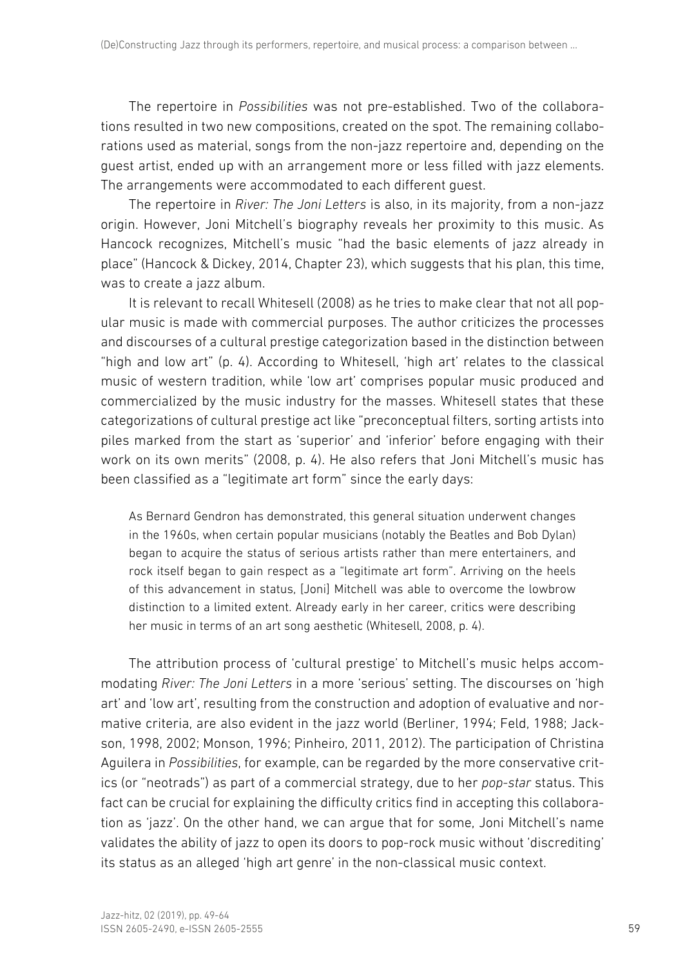The repertoire in *Possibilities* was not pre-established. Two of the collaborations resulted in two new compositions, created on the spot. The remaining collaborations used as material, songs from the non-jazz repertoire and, depending on the guest artist, ended up with an arrangement more or less filled with jazz elements. The arrangements were accommodated to each different guest.

 The repertoire in *River: The Joni Letters* is also, in its majority, from a non-jazz origin. However, Joni Mitchell's biography reveals her proximity to this music. As Hancock recognizes, Mitchell's music "had the basic elements of jazz already in place" (Hancock & Dickey, 2014, Chapter 23), which suggests that his plan, this time, was to create a jazz album.

It is relevant to recall Whitesell (2008) as he tries to make clear that not all popular music is made with commercial purposes. The author criticizes the processes and discourses of a cultural prestige categorization based in the distinction between "high and low art" (p. 4). According to Whitesell, 'high art' relates to the classical music of western tradition, while 'low art' comprises popular music produced and commercialized by the music industry for the masses. Whitesell states that these categorizations of cultural prestige act like "preconceptual filters, sorting artists into piles marked from the start as 'superior' and 'inferior' before engaging with their work on its own merits" (2008, p. 4). He also refers that Joni Mitchell's music has been classified as a "legitimate art form" since the early days:

As Bernard Gendron has demonstrated, this general situation underwent changes in the 1960s, when certain popular musicians (notably the Beatles and Bob Dylan) began to acquire the status of serious artists rather than mere entertainers, and rock itself began to gain respect as a "legitimate art form". Arriving on the heels of this advancement in status, [Joni] Mitchell was able to overcome the lowbrow distinction to a limited extent. Already early in her career, critics were describing her music in terms of an art song aesthetic (Whitesell, 2008, p. 4).

The attribution process of 'cultural prestige' to Mitchell's music helps accommodating *River: The Joni Letters* in a more 'serious' setting. The discourses on 'high art' and 'low art', resulting from the construction and adoption of evaluative and normative criteria, are also evident in the jazz world (Berliner, 1994; Feld, 1988; Jackson, 1998, 2002; Monson, 1996; Pinheiro, 2011, 2012). The participation of Christina Aguilera in *Possibilities*, for example, can be regarded by the more conservative critics (or "neotrads") as part of a commercial strategy, due to her *pop-star* status. This fact can be crucial for explaining the difficulty critics find in accepting this collaboration as 'jazz'. On the other hand, we can argue that for some, Joni Mitchell's name validates the ability of jazz to open its doors to pop-rock music without 'discrediting' its status as an alleged 'high art genre' in the non-classical music context.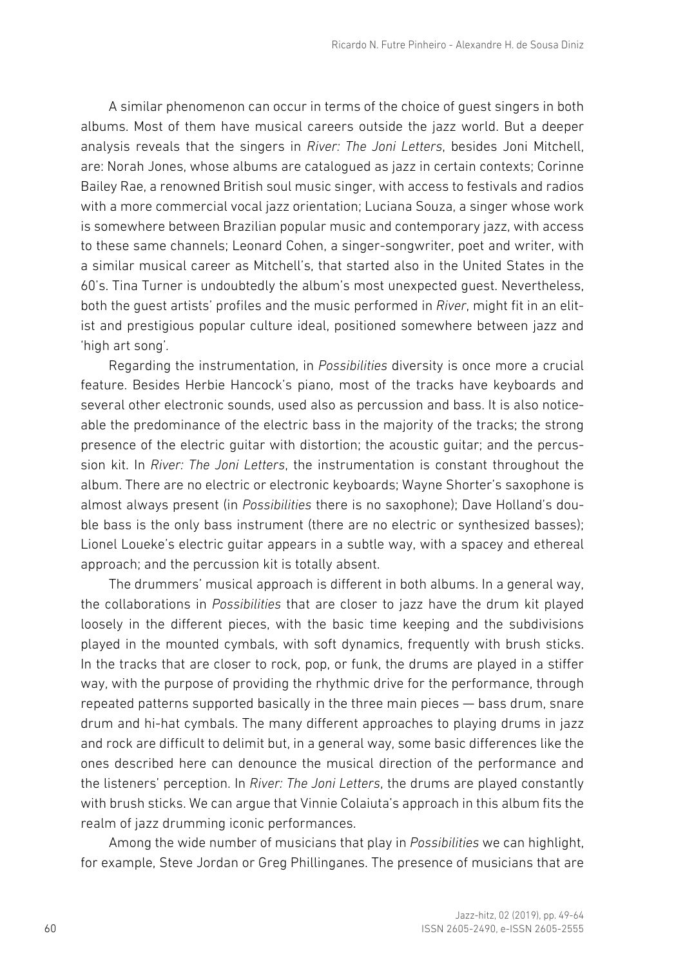A similar phenomenon can occur in terms of the choice of guest singers in both albums. Most of them have musical careers outside the jazz world. But a deeper analysis reveals that the singers in *River: The Joni Letters*, besides Joni Mitchell, are: Norah Jones, whose albums are catalogued as jazz in certain contexts; Corinne Bailey Rae, a renowned British soul music singer, with access to festivals and radios with a more commercial vocal jazz orientation; Luciana Souza, a singer whose work is somewhere between Brazilian popular music and contemporary jazz, with access to these same channels; Leonard Cohen, a singer-songwriter, poet and writer, with a similar musical career as Mitchell's, that started also in the United States in the 60's. Tina Turner is undoubtedly the album's most unexpected guest. Nevertheless, both the guest artists' profiles and the music performed in *River*, might fit in an elitist and prestigious popular culture ideal, positioned somewhere between jazz and 'high art song'*.*

Regarding the instrumentation, in *Possibilities* diversity is once more a crucial feature. Besides Herbie Hancock's piano, most of the tracks have keyboards and several other electronic sounds, used also as percussion and bass. It is also noticeable the predominance of the electric bass in the majority of the tracks; the strong presence of the electric guitar with distortion; the acoustic guitar; and the percussion kit. In *River: The Joni Letters*, the instrumentation is constant throughout the album. There are no electric or electronic keyboards; Wayne Shorter's saxophone is almost always present (in *Possibilities* there is no saxophone); Dave Holland's double bass is the only bass instrument (there are no electric or synthesized basses); Lionel Loueke's electric guitar appears in a subtle way, with a spacey and ethereal approach; and the percussion kit is totally absent.

The drummers' musical approach is different in both albums. In a general way, the collaborations in *Possibilities* that are closer to jazz have the drum kit played loosely in the different pieces, with the basic time keeping and the subdivisions played in the mounted cymbals, with soft dynamics, frequently with brush sticks. In the tracks that are closer to rock, pop, or funk, the drums are played in a stiffer way, with the purpose of providing the rhythmic drive for the performance, through repeated patterns supported basically in the three main pieces — bass drum, snare drum and hi-hat cymbals. The many different approaches to playing drums in jazz and rock are difficult to delimit but, in a general way, some basic differences like the ones described here can denounce the musical direction of the performance and the listeners' perception. In *River: The Joni Letters*, the drums are played constantly with brush sticks. We can argue that Vinnie Colaiuta's approach in this album fits the realm of jazz drumming iconic performances.

Among the wide number of musicians that play in *Possibilities* we can highlight, for example, Steve Jordan or Greg Phillinganes. The presence of musicians that are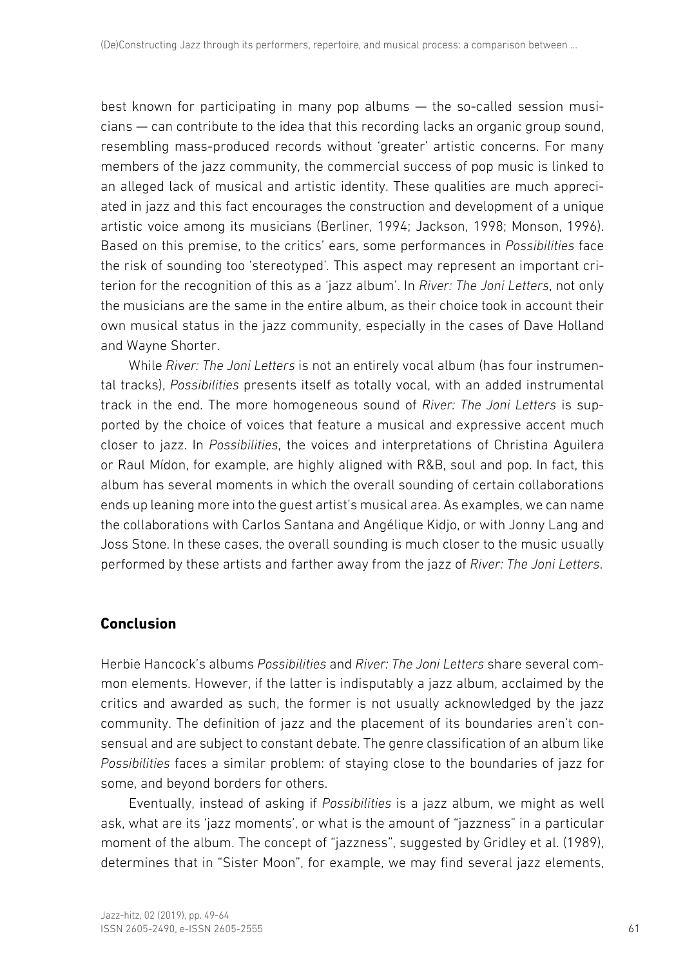best known for participating in many pop albums — the so-called session musicians — can contribute to the idea that this recording lacks an organic group sound, resembling mass-produced records without 'greater' artistic concerns. For many members of the jazz community, the commercial success of pop music is linked to an alleged lack of musical and artistic identity. These qualities are much appreciated in jazz and this fact encourages the construction and development of a unique artistic voice among its musicians (Berliner, 1994; Jackson, 1998; Monson, 1996). Based on this premise, to the critics' ears, some performances in *Possibilities* face the risk of sounding too 'stereotyped'*.* This aspect may represent an important criterion for the recognition of this as a 'jazz album'. In *River: The Joni Letters*, not only the musicians are the same in the entire album, as their choice took in account their own musical status in the jazz community, especially in the cases of Dave Holland and Wayne Shorter.

While *River: The Joni Letters* is not an entirely vocal album (has four instrumental tracks), *Possibilities* presents itself as totally vocal, with an added instrumental track in the end. The more homogeneous sound of *River: The Joni Letters* is supported by the choice of voices that feature a musical and expressive accent much closer to jazz. In *Possibilities*, the voices and interpretations of Christina Aguilera or Raul Mídon, for example, are highly aligned with R&B, soul and pop. In fact, this album has several moments in which the overall sounding of certain collaborations ends up leaning more into the guest artist's musical area. As examples, we can name the collaborations with Carlos Santana and Angélique Kidjo, or with Jonny Lang and Joss Stone. In these cases, the overall sounding is much closer to the music usually performed by these artists and farther away from the jazz of *River: The Joni Letters*.

# **Conclusion**

Herbie Hancock's albums *Possibilities* and *River: The Joni Letters* share several common elements. However, if the latter is indisputably a jazz album, acclaimed by the critics and awarded as such, the former is not usually acknowledged by the jazz community. The definition of jazz and the placement of its boundaries aren't consensual and are subject to constant debate. The genre classification of an album like *Possibilities* faces a similar problem: of staying close to the boundaries of jazz for some, and beyond borders for others.

Eventually, instead of asking if *Possibilities* is a jazz album, we might as well ask, what are its 'jazz moments', or what is the amount of "jazzness" in a particular moment of the album. The concept of "jazzness", suggested by Gridley et al. (1989), determines that in "Sister Moon", for example, we may find several jazz elements,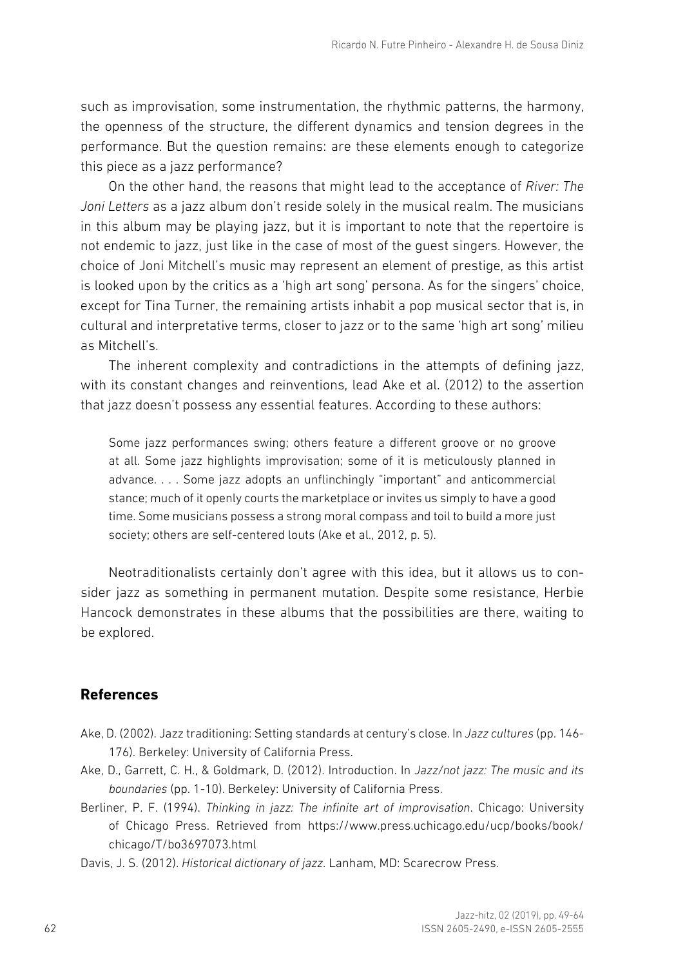such as improvisation, some instrumentation, the rhythmic patterns, the harmony, the openness of the structure, the different dynamics and tension degrees in the performance. But the question remains: are these elements enough to categorize this piece as a jazz performance?

On the other hand, the reasons that might lead to the acceptance of *River: The Joni Letters* as a jazz album don't reside solely in the musical realm. The musicians in this album may be playing jazz, but it is important to note that the repertoire is not endemic to jazz, just like in the case of most of the guest singers. However, the choice of Joni Mitchell's music may represent an element of prestige, as this artist is looked upon by the critics as a 'high art song' persona. As for the singers' choice, except for Tina Turner, the remaining artists inhabit a pop musical sector that is, in cultural and interpretative terms, closer to jazz or to the same 'high art song' milieu as Mitchell's.

The inherent complexity and contradictions in the attempts of defining jazz, with its constant changes and reinventions, lead Ake et al. (2012) to the assertion that jazz doesn't possess any essential features. According to these authors:

Some jazz performances swing; others feature a different groove or no groove at all. Some jazz highlights improvisation; some of it is meticulously planned in advance. . . . Some jazz adopts an unflinchingly "important" and anticommercial stance; much of it openly courts the marketplace or invites us simply to have a good time. Some musicians possess a strong moral compass and toil to build a more just society; others are self-centered louts (Ake et al., 2012, p. 5).

Neotraditionalists certainly don't agree with this idea, but it allows us to consider jazz as something in permanent mutation. Despite some resistance, Herbie Hancock demonstrates in these albums that the possibilities are there, waiting to be explored.

## **References**

- Ake, D. (2002). Jazz traditioning: Setting standards at century's close. In *Jazz cultures* (pp. 146- 176). Berkeley: University of California Press.
- Ake, D., Garrett, C. H., & Goldmark, D. (2012). Introduction. In *Jazz/not jazz: The music and its boundaries* (pp. 1-10). Berkeley: University of California Press.
- Berliner, P. F. (1994). *Thinking in jazz: The infinite art of improvisation*. Chicago: University of Chicago Press. Retrieved from https://www.press.uchicago.edu/ucp/books/book/ chicago/T/bo3697073.html

Davis, J. S. (2012). *Historical dictionary of jazz*. Lanham, MD: Scarecrow Press.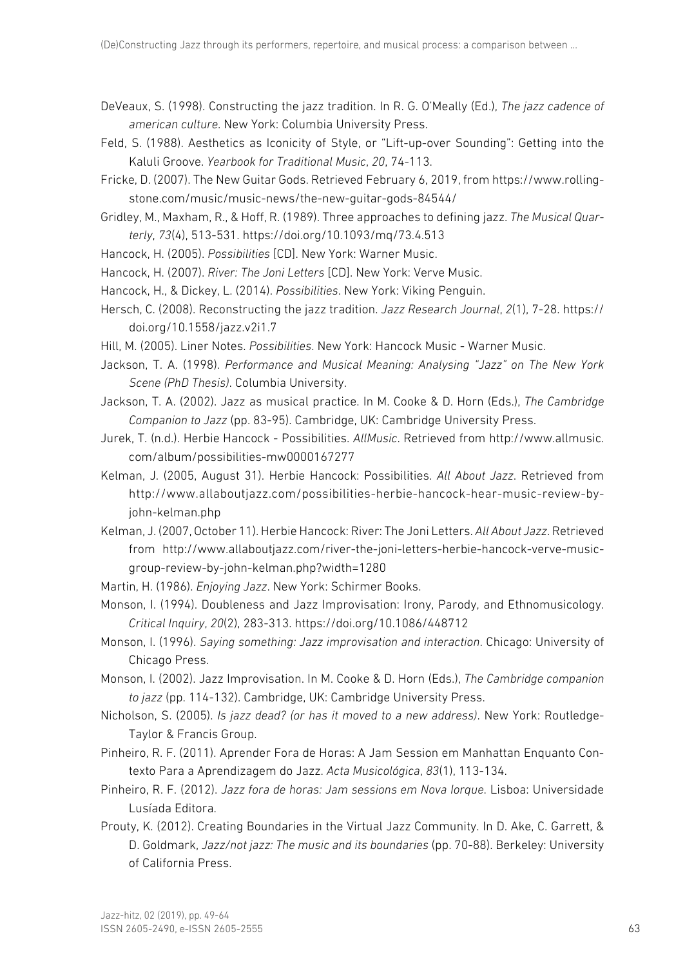- DeVeaux, S. (1998). Constructing the jazz tradition. In R. G. O'Meally (Ed.), *The jazz cadence of american culture*. New York: Columbia University Press.
- Feld, S. (1988). Aesthetics as Iconicity of Style, or "Lift-up-over Sounding": Getting into the Kaluli Groove. *Yearbook for Traditional Music*, *20*, 74-113.
- Fricke, D. (2007). The New Guitar Gods. Retrieved February 6, 2019, from https://www.rollingstone.com/music/music-news/the-new-guitar-gods-84544/
- Gridley, M., Maxham, R., & Hoff, R. (1989). Three approaches to defining jazz. *The Musical Quarterly*, *73*(4), 513-531. https://doi.org/10.1093/mq/73.4.513
- Hancock, H. (2005). *Possibilities* [CD]. New York: Warner Music.
- Hancock, H. (2007). *River: The Joni Letters* [CD]. New York: Verve Music.
- Hancock, H., & Dickey, L. (2014). *Possibilities*. New York: Viking Penguin.
- Hersch, C. (2008). Reconstructing the jazz tradition. *Jazz Research Journal*, *2*(1), 7-28. https:// doi.org/10.1558/jazz.v2i1.7
- Hill, M. (2005). Liner Notes. *Possibilities*. New York: Hancock Music Warner Music.
- Jackson, T. A. (1998). *Performance and Musical Meaning: Analysing "Jazz" on The New York Scene (PhD Thesis)*. Columbia University.
- Jackson, T. A. (2002). Jazz as musical practice. In M. Cooke & D. Horn (Eds.), *The Cambridge Companion to Jazz* (pp. 83-95). Cambridge, UK: Cambridge University Press.
- Jurek, T. (n.d.). Herbie Hancock Possibilities. *AllMusic*. Retrieved from http://www.allmusic. com/album/possibilities-mw0000167277
- Kelman, J. (2005, August 31). Herbie Hancock: Possibilities. *All About Jazz*. Retrieved from http://www.allaboutjazz.com/possibilities-herbie-hancock-hear-music-review-byjohn-kelman.php
- Kelman, J. (2007, October 11). Herbie Hancock: River: The Joni Letters. *All About Jazz*. Retrieved from http://www.allaboutjazz.com/river-the-joni-letters-herbie-hancock-verve-musicgroup-review-by-john-kelman.php?width=1280
- Martin, H. (1986). *Enjoying Jazz*. New York: Schirmer Books.
- Monson, I. (1994). Doubleness and Jazz Improvisation: Irony, Parody, and Ethnomusicology. *Critical Inquiry*, *20*(2), 283-313. https://doi.org/10.1086/448712
- Monson, I. (1996). *Saying something: Jazz improvisation and interaction*. Chicago: University of Chicago Press.
- Monson, I. (2002). Jazz Improvisation. In M. Cooke & D. Horn (Eds.), *The Cambridge companion to jazz* (pp. 114-132). Cambridge, UK: Cambridge University Press.
- Nicholson, S. (2005). *Is jazz dead? (or has it moved to a new address)*. New York: Routledge-Taylor & Francis Group.
- Pinheiro, R. F. (2011). Aprender Fora de Horas: A Jam Session em Manhattan Enquanto Contexto Para a Aprendizagem do Jazz. *Acta Musicológica*, *83*(1), 113-134.
- Pinheiro, R. F. (2012). *Jazz fora de horas: Jam sessions em Nova Iorque*. Lisboa: Universidade Lusíada Editora.
- Prouty, K. (2012). Creating Boundaries in the Virtual Jazz Community. In D. Ake, C. Garrett, & D. Goldmark, *Jazz/not jazz: The music and its boundaries* (pp. 70-88). Berkeley: University of California Press.